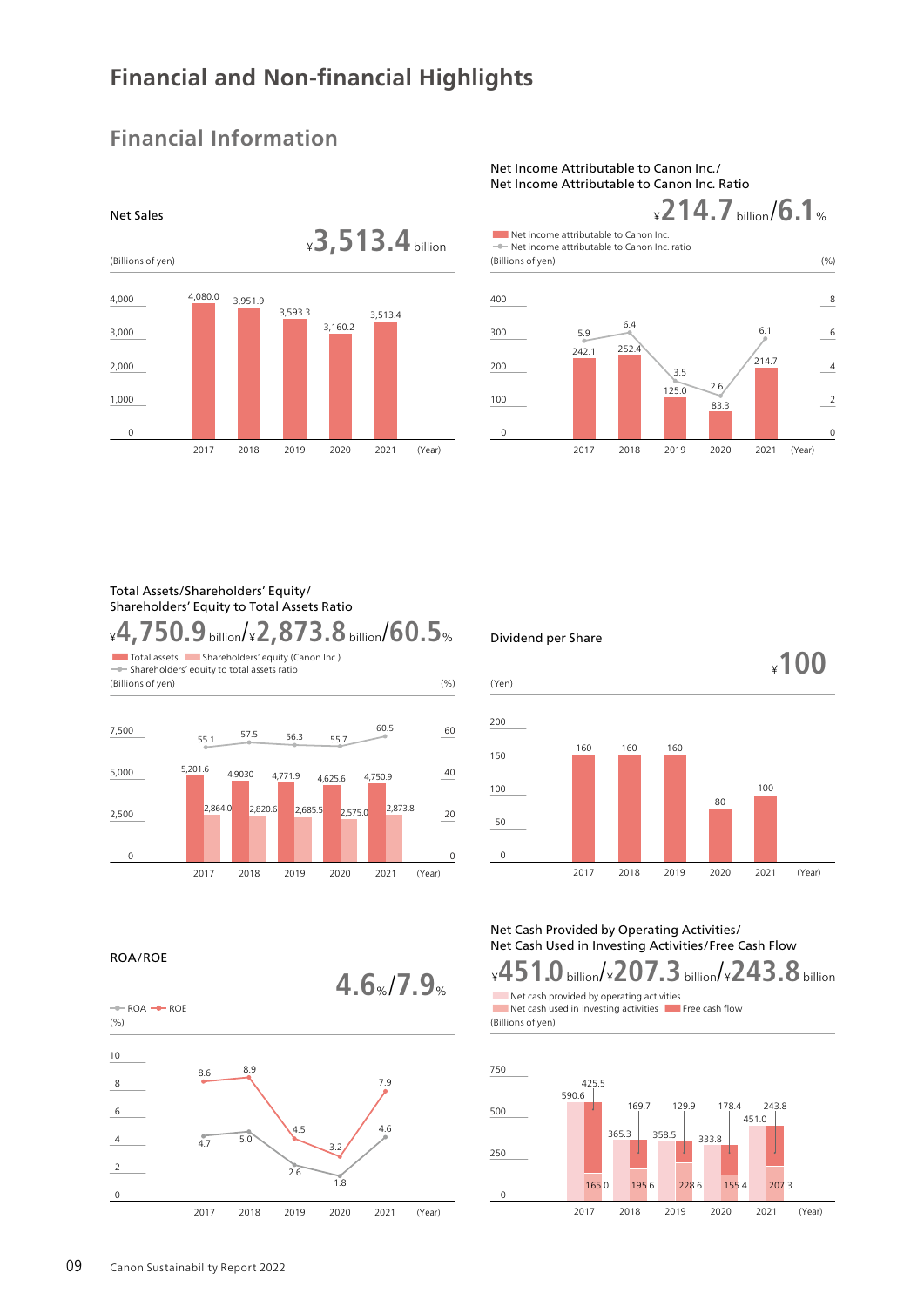# **Financial and Non-financial Highlights**

### ¥**3,513.4** billion (Billions of yen) 2017 2018 4,080.0 3,951.9  $\Omega$ 1,000 2,000 3,000 4,000 2019 3,593.3 2020 3,160.2 2021 (Year) 3,513.4

# **Financial Information**

## Net Income Attributable to Canon Inc./ Net Income Attributable to Canon Inc. Ratio



## Total Assets/Shareholders' Equity/ Shareholders' Equity to Total Assets Ratio ¥**4,750.9** billion/¥**2,873.8** billion/**60.5**%





ROA/ROE





## Net Cash Provided by Operating Activities/ Net Cash Used in Investing Activities/Free Cash Flow

■Net cash provided by operating activities ¥**451.0** billion/¥**207.3** billion/¥**243.8** billion **4.6**%/**7.9**%

■■Net cash used in investing activities ■ Free cash flow (Billions of yen)



Net Sales